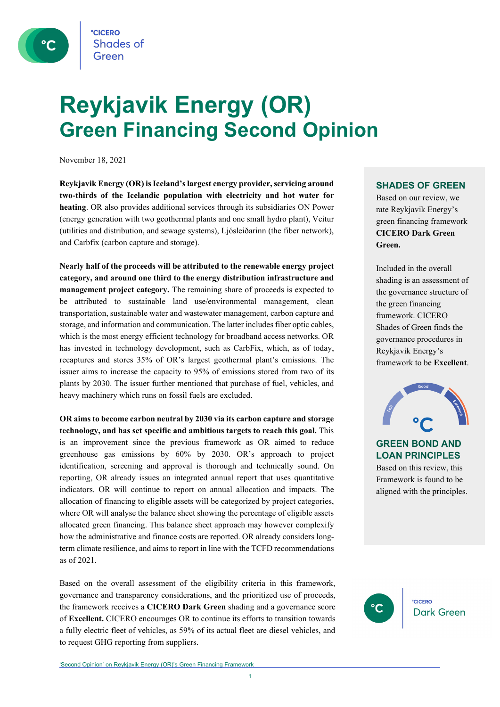

# **Reykjavik Energy (OR) Green Financing Second Opinion**

November 18, 2021

**Reykjavik Energy (OR) is Iceland's largest energy provider, servicing around two-thirds of the Icelandic population with electricity and hot water for heating**. OR also provides additional services through its subsidiaries ON Power (energy generation with two geothermal plants and one small hydro plant), Veitur (utilities and distribution, and sewage systems), Ljósleiðarinn (the fiber network), and Carbfix (carbon capture and storage).

**Nearly half of the proceeds will be attributed to the renewable energy project category, and around one third to the energy distribution infrastructure and management project category.** The remaining share of proceeds is expected to be attributed to sustainable land use/environmental management, clean transportation, sustainable water and wastewater management, carbon capture and storage, and information and communication. The latter includes fiber optic cables, which is the most energy efficient technology for broadband access networks. OR has invested in technology development, such as CarbFix, which, as of today, recaptures and stores 35% of OR's largest geothermal plant's emissions. The issuer aims to increase the capacity to 95% of emissions stored from two of its plants by 2030. The issuer further mentioned that purchase of fuel, vehicles, and heavy machinery which runs on fossil fuels are excluded.

**OR aims to become carbon neutral by 2030 via its carbon capture and storage technology, and has set specific and ambitious targets to reach this goal.** This is an improvement since the previous framework as OR aimed to reduce greenhouse gas emissions by 60% by 2030. OR's approach to project identification, screening and approval is thorough and technically sound. On reporting, OR already issues an integrated annual report that uses quantitative indicators. OR will continue to report on annual allocation and impacts. The allocation of financing to eligible assets will be categorized by project categories, where OR will analyse the balance sheet showing the percentage of eligible assets allocated green financing. This balance sheet approach may however complexify how the administrative and finance costs are reported. OR already considers longterm climate resilience, and aims to report in line with the TCFD recommendations as of 2021.

Based on the overall assessment of the eligibility criteria in this framework, governance and transparency considerations, and the prioritized use of proceeds, the framework receives a **CICERO Dark Green** shading and a governance score of **Excellent.** CICERO encourages OR to continue its efforts to transition towards a fully electric fleet of vehicles, as 59% of its actual fleet are diesel vehicles, and to request GHG reporting from suppliers.

#### **SHADES OF GREEN**

Based on our review, we rate Reykjavik Energy's green financing framework **CICERO Dark Green Green.** 

Included in the overall shading is an assessment of the governance structure of the green financing framework. CICERO Shades of Green finds the governance procedures in Reykjavik Energy's framework to be **Excellent**.



**GREEN BOND AND LOAN PRINCIPLES** Based on this review, this

Framework is found to be aligned with the principles.

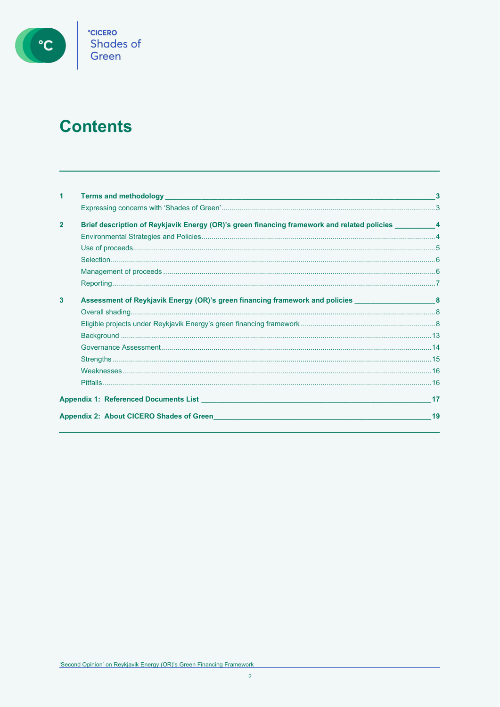

### **Contents**

| 1              |                                                                                                        |    |  |
|----------------|--------------------------------------------------------------------------------------------------------|----|--|
|                |                                                                                                        |    |  |
| $\overline{2}$ | Brief description of Reykjavik Energy (OR)'s green financing framework and related policies _________4 |    |  |
|                |                                                                                                        |    |  |
|                |                                                                                                        |    |  |
|                |                                                                                                        |    |  |
|                |                                                                                                        |    |  |
|                |                                                                                                        |    |  |
| 3              | Assessment of Reykjavik Energy (OR)'s green financing framework and policies _______________________8  |    |  |
|                |                                                                                                        |    |  |
|                |                                                                                                        |    |  |
|                |                                                                                                        |    |  |
|                |                                                                                                        |    |  |
|                |                                                                                                        |    |  |
|                |                                                                                                        |    |  |
|                |                                                                                                        |    |  |
|                |                                                                                                        | 17 |  |
|                | Appendix 2: About CICERO Shades of Green                                                               | 19 |  |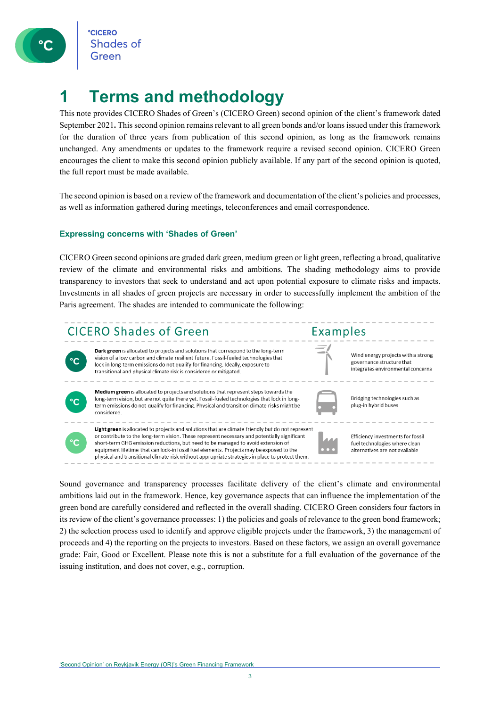**CICERC Shades of** 

### <span id="page-2-0"></span>**1 Terms and methodology**

This note provides CICERO Shades of Green's (CICERO Green) second opinion of the client's framework dated September 2021**.** This second opinion remains relevant to all green bonds and/or loans issued under this framework for the duration of three years from publication of this second opinion, as long as the framework remains unchanged. Any amendments or updates to the framework require a revised second opinion. CICERO Green encourages the client to make this second opinion publicly available. If any part of the second opinion is quoted, the full report must be made available.

The second opinion is based on a review of the framework and documentation of the client's policies and processes, as well as information gathered during meetings, teleconferences and email correspondence.

### <span id="page-2-1"></span>**Expressing concerns with 'Shades of Green'**

CICERO Green second opinions are graded dark green, medium green or light green, reflecting a broad, qualitative review of the climate and environmental risks and ambitions. The shading methodology aims to provide transparency to investors that seek to understand and act upon potential exposure to climate risks and impacts. Investments in all shades of green projects are necessary in order to successfully implement the ambition of the Paris agreement. The shades are intended to communicate the following:



Sound governance and transparency processes facilitate delivery of the client's climate and environmental ambitions laid out in the framework. Hence, key governance aspects that can influence the implementation of the green bond are carefully considered and reflected in the overall shading. CICERO Green considers four factors in its review of the client's governance processes: 1) the policies and goals of relevance to the green bond framework; 2) the selection process used to identify and approve eligible projects under the framework, 3) the management of proceeds and 4) the reporting on the projects to investors. Based on these factors, we assign an overall governance grade: Fair, Good or Excellent. Please note this is not a substitute for a full evaluation of the governance of the issuing institution, and does not cover, e.g., corruption.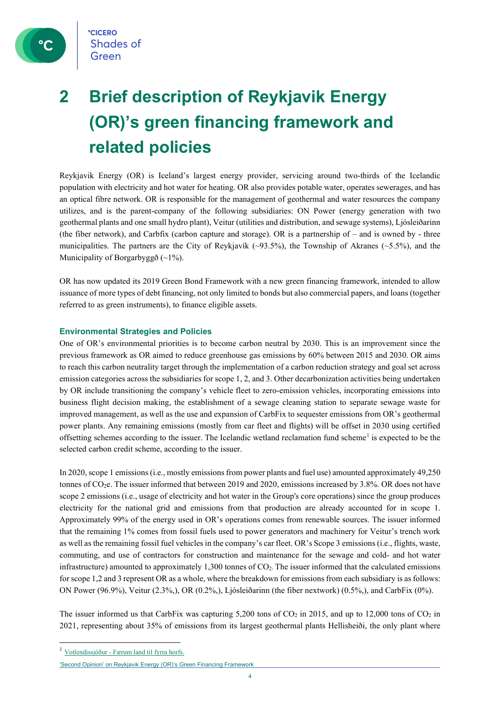

## <span id="page-3-0"></span>**2 Brief description of Reykjavik Energy (OR)'s green financing framework and related policies**

Reykjavik Energy (OR) is Iceland's largest energy provider, servicing around two-thirds of the Icelandic population with electricity and hot water for heating. OR also provides potable water, operates sewerages, and has an optical fibre network. OR is responsible for the management of geothermal and water resources the company utilizes, and is the parent-company of the following subsidiaries: ON Power (energy generation with two geothermal plants and one small hydro plant), Veitur (utilities and distribution, and sewage systems), Ljósleiðarinn (the fiber network), and Carbfix (carbon capture and storage). OR is a partnership of – and is owned by - three municipalities. The partners are the City of Reykjavík ( $\sim$ 93.5%), the Township of Akranes ( $\sim$ 5.5%), and the Municipality of Borgarbyggð (~1%).

OR has now updated its 2019 Green Bond Framework with a new green financing framework, intended to allow issuance of more types of debt financing, not only limited to bonds but also commercial papers, and loans (together referred to as green instruments), to finance eligible assets.

#### <span id="page-3-1"></span>**Environmental Strategies and Policies**

One of OR's environmental priorities is to become carbon neutral by 2030. This is an improvement since the previous framework as OR aimed to reduce greenhouse gas emissions by 60% between 2015 and 2030. OR aims to reach this carbon neutrality target through the implementation of a carbon reduction strategy and goal set across emission categories across the subsidiaries for scope 1, 2, and 3. Other decarbonization activities being undertaken by OR include transitioning the company's vehicle fleet to zero-emission vehicles, incorporating emissions into business flight decision making, the establishment of a sewage cleaning station to separate sewage waste for improved management, as well as the use and expansion of CarbFix to sequester emissions from OR's geothermal power plants. Any remaining emissions (mostly from car fleet and flights) will be offset in 2030 using certified offsetting schemes according to the issuer. The Icelandic wetland reclamation fund scheme<sup>[1](#page-3-2)</sup> is expected to be the selected carbon credit scheme, according to the issuer.

In 2020, scope 1 emissions(i.e., mostly emissions from power plants and fuel use) amounted approximately 49,250 tonnes of CO2e. The issuer informed that between 2019 and 2020, emissions increased by 3.8%. OR does not have scope 2 emissions (i.e., usage of electricity and hot water in the Group's core operations) since the group produces electricity for the national grid and emissions from that production are already accounted for in scope 1. Approximately 99% of the energy used in OR's operations comes from renewable sources. The issuer informed that the remaining 1% comes from fossil fuels used to power generators and machinery for Veitur's trench work as well as the remaining fossil fuel vehicles in the company's car fleet. OR's Scope 3 emissions (i.e., flights, waste, commuting, and use of contractors for construction and maintenance for the sewage and cold- and hot water infrastructure) amounted to approximately 1,300 tonnes of  $CO<sub>2</sub>$ . The issuer informed that the calculated emissions for scope 1,2 and 3 represent OR as a whole, where the breakdown for emissions from each subsidiary is as follows: ON Power (96.9%), Veitur (2.3%,), OR (0.2%,), Ljósleiðarinn (the fiber nextwork) (0.5%,), and CarbFix (0%).

The issuer informed us that CarbFix was capturing 5,200 tons of  $CO<sub>2</sub>$  in 2015, and up to 12,000 tons of  $CO<sub>2</sub>$  in 2021, representing about 35% of emissions from its largest geothermal plants Hellisheiði, the only plant where

<span id="page-3-2"></span><sup>1</sup> Votlendissjóður - [Færum land til fyrra horfs.](https://www.votlendi.is/newpage82d36e67)

<sup>&#</sup>x27;Second Opinion' on Reykjavik Energy (OR)'s Green Financing Framework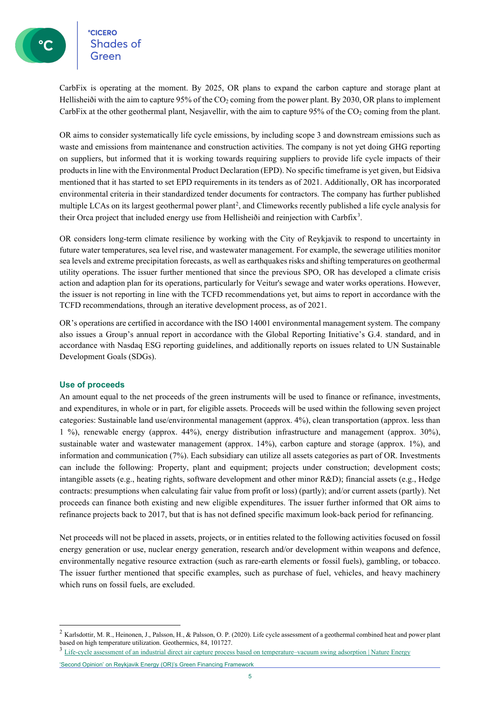CarbFix is operating at the moment. By 2025, OR plans to expand the carbon capture and storage plant at Hellisheiði with the aim to capture 95% of the CO<sub>2</sub> coming from the power plant. By 2030, OR plans to implement CarbFix at the other geothermal plant, Nesjavellir, with the aim to capture  $95\%$  of the CO<sub>2</sub> coming from the plant.

OR aims to consider systematically life cycle emissions, by including scope 3 and downstream emissions such as waste and emissions from maintenance and construction activities. The company is not yet doing GHG reporting on suppliers, but informed that it is working towards requiring suppliers to provide life cycle impacts of their productsin line with the Environmental Product Declaration (EPD). No specific timeframe is yet given, but Eidsiva mentioned that it has started to set EPD requirements in its tenders as of 2021. Additionally, OR has incorporated environmental criteria in their standardized tender documents for contractors. The company has further published multiple LCAs on its largest geothermal power plant<sup>[2](#page-4-1)</sup>, and Climeworks recently published a life cycle analysis for their Orca project that included energy use from Hellisheiði and reinjection with Carbfix<sup>[3](#page-4-2)</sup>.

OR considers long-term climate resilience by working with the City of Reykjavik to respond to uncertainty in future water temperatures, sea level rise, and wastewater management. For example, the sewerage utilities monitor sea levels and extreme precipitation forecasts, as well as earthquakes risks and shifting temperatures on geothermal utility operations. The issuer further mentioned that since the previous SPO, OR has developed a climate crisis action and adaption plan for its operations, particularly for Veitur's sewage and water works operations. However, the issuer is not reporting in line with the TCFD recommendations yet, but aims to report in accordance with the TCFD recommendations, through an iterative development process, as of 2021.

OR's operations are certified in accordance with the ISO 14001 environmental management system. The company also issues a Group's annual report in accordance with the Global Reporting Initiative's G.4. standard, and in accordance with Nasdaq ESG reporting guidelines, and additionally reports on issues related to UN Sustainable Development Goals (SDGs).

#### <span id="page-4-0"></span>**Use of proceeds**

An amount equal to the net proceeds of the green instruments will be used to finance or refinance, investments, and expenditures, in whole or in part, for eligible assets. Proceeds will be used within the following seven project categories: Sustainable land use/environmental management (approx. 4%), clean transportation (approx. less than 1 %), renewable energy (approx. 44%), energy distribution infrastructure and management (approx. 30%), sustainable water and wastewater management (approx. 14%), carbon capture and storage (approx. 1%), and information and communication (7%). Each subsidiary can utilize all assets categories as part of OR. Investments can include the following: Property, plant and equipment; projects under construction; development costs; intangible assets (e.g., heating rights, software development and other minor R&D); financial assets (e.g., Hedge contracts: presumptions when calculating fair value from profit or loss) (partly); and/or current assets (partly). Net proceeds can finance both existing and new eligible expenditures. The issuer further informed that OR aims to refinance projects back to 2017, but that is has not defined specific maximum look-back period for refinancing.

Net proceeds will not be placed in assets, projects, or in entities related to the following activities focused on fossil energy generation or use, nuclear energy generation, research and/or development within weapons and defence, environmentally negative resource extraction (such as rare-earth elements or fossil fuels), gambling, or tobacco. The issuer further mentioned that specific examples, such as purchase of fuel, vehicles, and heavy machinery which runs on fossil fuels, are excluded.

'Second Opinion' on Reykjavik Energy (OR)'s Green Financing Framework

<span id="page-4-1"></span><sup>&</sup>lt;sup>2</sup> Karlsdottir, M. R., Heinonen, J., Palsson, H., & Palsson, O. P. (2020). Life cycle assessment of a geothermal combined heat and power plant based on high temperature utilization. Geothermics, 84, 101727.

<span id="page-4-2"></span><sup>3</sup> [Life-cycle assessment of an industrial direct air capture process based on temperature–vacuum swing adsorption | Nature Energy](https://www.nature.com/articles/s41560-020-00771-9.epdf?sharing_token=MauoHxobZ3BVIaQnHIQutdRgN0jAjWel9jnR3ZoTv0OEKeY9z0ZKZCHOJUdL6cEV9A-FuZA7TH7X4nBvetkQs0m2vrwRdM0JbjgOpOQwZ0nUnTZODiRY4BydPP_JmQbc2WmyNg5f1Obm7O3rbr_AjBPHYv5pB_BB5IAdDy_fcKU%3D)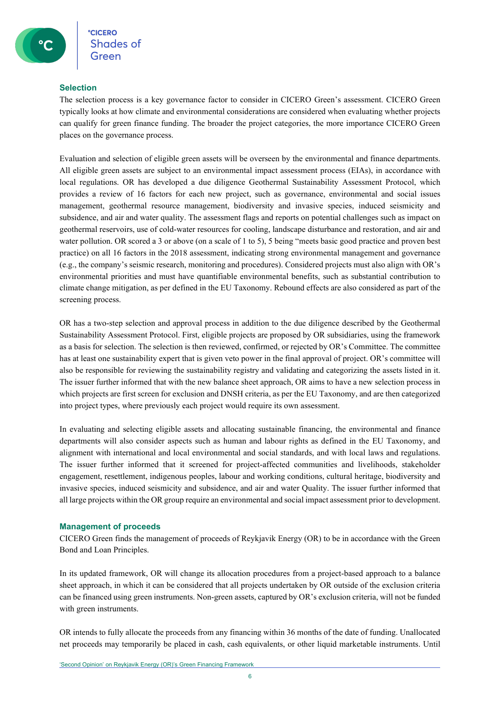#### <span id="page-5-0"></span>**Selection**

The selection process is a key governance factor to consider in CICERO Green's assessment. CICERO Green typically looks at how climate and environmental considerations are considered when evaluating whether projects can qualify for green finance funding. The broader the project categories, the more importance CICERO Green places on the governance process.

Evaluation and selection of eligible green assets will be overseen by the environmental and finance departments. All eligible green assets are subject to an environmental impact assessment process (EIAs), in accordance with local regulations. OR has developed a due diligence Geothermal Sustainability Assessment Protocol, which provides a review of 16 factors for each new project, such as governance, environmental and social issues management, geothermal resource management, biodiversity and invasive species, induced seismicity and subsidence, and air and water quality. The assessment flags and reports on potential challenges such as impact on geothermal reservoirs, use of cold-water resources for cooling, landscape disturbance and restoration, and air and water pollution. OR scored a 3 or above (on a scale of 1 to 5), 5 being "meets basic good practice and proven best practice) on all 16 factors in the 2018 assessment, indicating strong environmental management and governance (e.g., the company's seismic research, monitoring and procedures). Considered projects must also align with OR's environmental priorities and must have quantifiable environmental benefits, such as substantial contribution to climate change mitigation, as per defined in the EU Taxonomy. Rebound effects are also considered as part of the screening process.

OR has a two-step selection and approval process in addition to the due diligence described by the Geothermal Sustainability Assessment Protocol. First, eligible projects are proposed by OR subsidiaries, using the framework as a basis for selection. The selection is then reviewed, confirmed, or rejected by OR's Committee. The committee has at least one sustainability expert that is given veto power in the final approval of project. OR's committee will also be responsible for reviewing the sustainability registry and validating and categorizing the assets listed in it. The issuer further informed that with the new balance sheet approach, OR aims to have a new selection process in which projects are first screen for exclusion and DNSH criteria, as per the EU Taxonomy, and are then categorized into project types, where previously each project would require its own assessment.

In evaluating and selecting eligible assets and allocating sustainable financing, the environmental and finance departments will also consider aspects such as human and labour rights as defined in the EU Taxonomy, and alignment with international and local environmental and social standards, and with local laws and regulations. The issuer further informed that it screened for project-affected communities and livelihoods, stakeholder engagement, resettlement, indigenous peoples, labour and working conditions, cultural heritage, biodiversity and invasive species, induced seismicity and subsidence, and air and water Quality. The issuer further informed that all large projects within the OR group require an environmental and social impact assessment prior to development.

#### <span id="page-5-1"></span>**Management of proceeds**

CICERO Green finds the management of proceeds of Reykjavik Energy (OR) to be in accordance with the Green Bond and Loan Principles.

In its updated framework, OR will change its allocation procedures from a project-based approach to a balance sheet approach, in which it can be considered that all projects undertaken by OR outside of the exclusion criteria can be financed using green instruments. Non-green assets, captured by OR's exclusion criteria, will not be funded with green instruments.

OR intends to fully allocate the proceeds from any financing within 36 months of the date of funding. Unallocated net proceeds may temporarily be placed in cash, cash equivalents, or other liquid marketable instruments. Until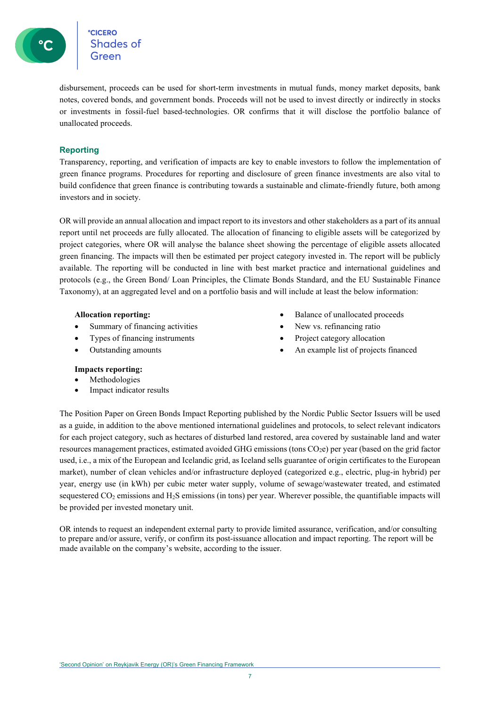eccero<br>Shades of **CICERO** 

disbursement, proceeds can be used for short-term investments in mutual funds, money market deposits, bank notes, covered bonds, and government bonds. Proceeds will not be used to invest directly or indirectly in stocks or investments in fossil-fuel based-technologies. OR confirms that it will disclose the portfolio balance of unallocated proceeds.

#### <span id="page-6-0"></span>**Reporting**

Transparency, reporting, and verification of impacts are key to enable investors to follow the implementation of green finance programs. Procedures for reporting and disclosure of green finance investments are also vital to build confidence that green finance is contributing towards a sustainable and climate-friendly future, both among investors and in society.

OR will provide an annual allocation and impact report to its investors and other stakeholders as a part of its annual report until net proceeds are fully allocated. The allocation of financing to eligible assets will be categorized by project categories, where OR will analyse the balance sheet showing the percentage of eligible assets allocated green financing. The impacts will then be estimated per project category invested in. The report will be publicly available. The reporting will be conducted in line with best market practice and international guidelines and protocols (e.g., the Green Bond/ Loan Principles, the Climate Bonds Standard, and the EU Sustainable Finance Taxonomy), at an aggregated level and on a portfolio basis and will include at least the below information:

#### **Allocation reporting:**

- Summary of financing activities
- Types of financing instruments
- Outstanding amounts
- Balance of unallocated proceeds
- New vs. refinancing ratio
- Project category allocation
- An example list of projects financed

#### **Impacts reporting:**

- **Methodologies**
- Impact indicator results

The Position Paper on Green Bonds Impact Reporting published by the Nordic Public Sector Issuers will be used as a guide, in addition to the above mentioned international guidelines and protocols, to select relevant indicators for each project category, such as hectares of disturbed land restored, area covered by sustainable land and water resources management practices, estimated avoided GHG emissions (tons CO2e) per year (based on the grid factor used, i.e., a mix of the European and Icelandic grid, as Iceland sells guarantee of origin certificates to the European market), number of clean vehicles and/or infrastructure deployed (categorized e.g., electric, plug-in hybrid) per year, energy use (in kWh) per cubic meter water supply, volume of sewage/wastewater treated, and estimated sequestered CO2 emissions and H2S emissions (in tons) per year. Wherever possible, the quantifiable impacts will be provided per invested monetary unit.

OR intends to request an independent external party to provide limited assurance, verification, and/or consulting to prepare and/or assure, verify, or confirm its post-issuance allocation and impact reporting. The report will be made available on the company's website, according to the issuer.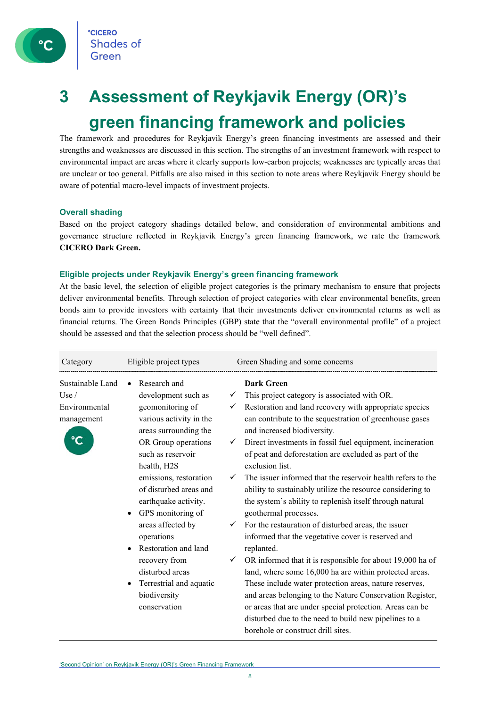

### <span id="page-7-0"></span>**3 Assessment of Reykjavik Energy (OR)'s green financing framework and policies**

The framework and procedures for Reykjavik Energy's green financing investments are assessed and their strengths and weaknesses are discussed in this section. The strengths of an investment framework with respect to environmental impact are areas where it clearly supports low-carbon projects; weaknesses are typically areas that are unclear or too general. Pitfalls are also raised in this section to note areas where Reykjavik Energy should be aware of potential macro-level impacts of investment projects.

#### <span id="page-7-1"></span>**Overall shading**

Based on the project category shadings detailed below, and consideration of environmental ambitions and governance structure reflected in Reykjavik Energy's green financing framework, we rate the framework **CICERO Dark Green.**

#### <span id="page-7-2"></span>**Eligible projects under Reykjavik Energy's green financing framework**

At the basic level, the selection of eligible project categories is the primary mechanism to ensure that projects deliver environmental benefits. Through selection of project categories with clear environmental benefits, green bonds aim to provide investors with certainty that their investments deliver environmental returns as well as financial returns. The Green Bonds Principles (GBP) state that the "overall environmental profile" of a project should be assessed and that the selection process should be "well defined".

| Category                                                   | Eligible project types                                                                                                                                                                                                                                                                                                                                                                                                                         |                                                             | Green Shading and some concerns                                                                                                                                                                                                                                                                                                                                                                                                                                                                                                                                                                                                                                                                                                                                                                                                                                                                                                                                                                                                                                                                                     |  |  |
|------------------------------------------------------------|------------------------------------------------------------------------------------------------------------------------------------------------------------------------------------------------------------------------------------------------------------------------------------------------------------------------------------------------------------------------------------------------------------------------------------------------|-------------------------------------------------------------|---------------------------------------------------------------------------------------------------------------------------------------------------------------------------------------------------------------------------------------------------------------------------------------------------------------------------------------------------------------------------------------------------------------------------------------------------------------------------------------------------------------------------------------------------------------------------------------------------------------------------------------------------------------------------------------------------------------------------------------------------------------------------------------------------------------------------------------------------------------------------------------------------------------------------------------------------------------------------------------------------------------------------------------------------------------------------------------------------------------------|--|--|
| Sustainable Land<br>Use $/$<br>Environmental<br>management | Research and<br>$\bullet$<br>development such as<br>geomonitoring of<br>various activity in the<br>areas surrounding the<br>OR Group operations<br>such as reservoir<br>health, H2S<br>emissions, restoration<br>of disturbed areas and<br>earthquake activity.<br>GPS monitoring of<br>areas affected by<br>operations<br>Restoration and land<br>recovery from<br>disturbed areas<br>Terrestrial and aquatic<br>biodiversity<br>conservation | ✓<br>$\checkmark$<br>✓<br>$\checkmark$<br>✓<br>$\checkmark$ | <b>Dark Green</b><br>This project category is associated with OR.<br>Restoration and land recovery with appropriate species<br>can contribute to the sequestration of greenhouse gases<br>and increased biodiversity.<br>Direct investments in fossil fuel equipment, incineration<br>of peat and deforestation are excluded as part of the<br>exclusion list.<br>The issuer informed that the reservoir health refers to the<br>ability to sustainably utilize the resource considering to<br>the system's ability to replenish itself through natural<br>geothermal processes.<br>For the restauration of disturbed areas, the issuer<br>informed that the vegetative cover is reserved and<br>replanted.<br>OR informed that it is responsible for about 19,000 ha of<br>land, where some 16,000 ha are within protected areas.<br>These include water protection areas, nature reserves,<br>and areas belonging to the Nature Conservation Register,<br>or areas that are under special protection. Areas can be<br>disturbed due to the need to build new pipelines to a<br>borehole or construct drill sites. |  |  |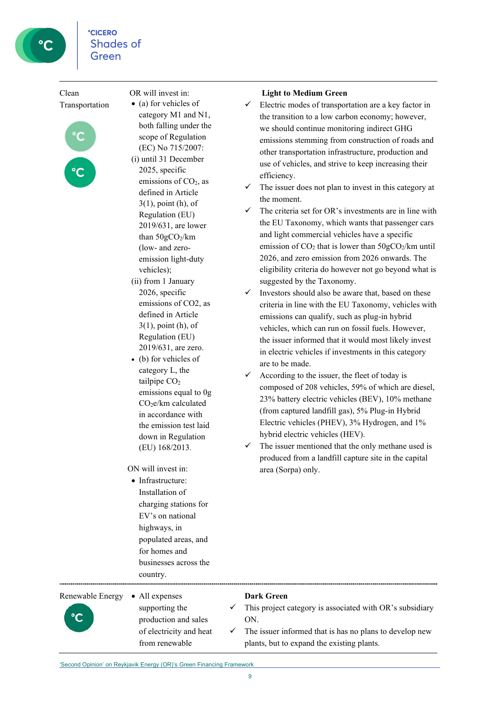

Clean Transportation



OR will invest in: • (a) for vehicles of category M1 and N1, both falling under the scope of Regulation (EC) No 715/2007:

(i) until 31 December 2025, specific emissions of  $CO<sub>2</sub>$ , as defined in Article 3(1), point (h), of Regulation (EU) 2019/631, are lower than  $50gCO<sub>2</sub>/km$ (low- and zeroemission light-duty vehicles);

- (ii) from 1 January 2026, specific emissions of CO2, as defined in Article 3(1), point (h), of Regulation (EU) 2019/631, are zero.
- (b) for vehicles of category L, the tailpipe  $CO<sub>2</sub>$ emissions equal to 0g CO<sub>2</sub>e/km calculated in accordance with the emission test laid down in Regulation (EU) 168/2013.

#### ON will invest in:

• Infrastructure: Installation of charging stations for EV's on national highways, in populated areas, and for homes and businesses across the country.

#### **Light to Medium Green**

- $\checkmark$  Electric modes of transportation are a key factor in the transition to a low carbon economy; however, we should continue monitoring indirect GHG emissions stemming from construction of roads and other transportation infrastructure, production and use of vehicles, and strive to keep increasing their efficiency.
- The issuer does not plan to invest in this category at the moment.
- The criteria set for OR's investments are in line with the EU Taxonomy, which wants that passenger cars and light commercial vehicles have a specific emission of  $CO<sub>2</sub>$  that is lower than  $50gCO<sub>2</sub>/km$  until 2026, and zero emission from 2026 onwards. The eligibility criteria do however not go beyond what is suggested by the Taxonomy.
- Investors should also be aware that, based on these criteria in line with the EU Taxonomy, vehicles with emissions can qualify, such as plug-in hybrid vehicles, which can run on fossil fuels. However, the issuer informed that it would most likely invest in electric vehicles if investments in this category are to be made.
- According to the issuer, the fleet of today is composed of 208 vehicles, 59% of which are diesel, 23% battery electric vehicles (BEV), 10% methane (from captured landfill gas), 5% Plug-in Hybrid Electric vehicles (PHEV), 3% Hydrogen, and 1% hybrid electric vehicles (HEV).
- The issuer mentioned that the only methane used is produced from a landfill capture site in the capital area (Sorpa) only.

| Renewable Energy • All expenses |                         |              | <b>Dark Green</b>                                        |
|---------------------------------|-------------------------|--------------|----------------------------------------------------------|
|                                 | supporting the          | $\checkmark$ | This project category is associated with OR's subsidiary |
|                                 | production and sales    |              | ON.                                                      |
|                                 | of electricity and heat |              | The issuer informed that is has no plans to develop new  |
|                                 | from renewable          |              | plants, but to expand the existing plants.               |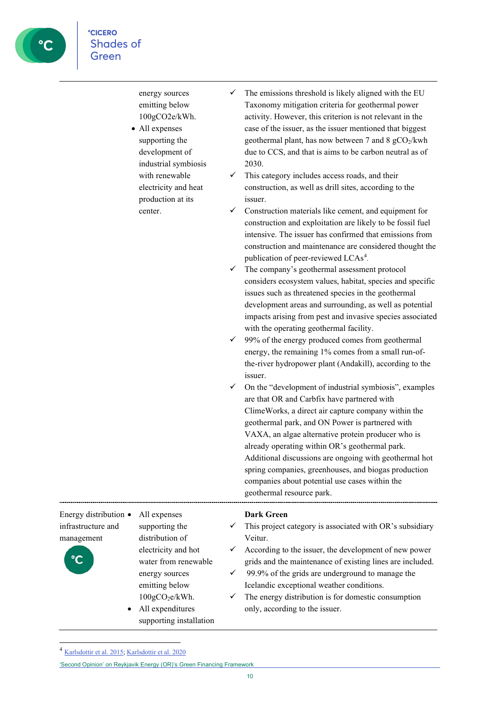

energy sources emitting below 100gCO2e/kWh.

- All expenses supporting the development of industrial symbiosis with renewable electricity and heat production at its center.
- $\checkmark$  The emissions threshold is likely aligned with the EU Taxonomy mitigation criteria for geothermal power activity. However, this criterion is not relevant in the case of the issuer, as the issuer mentioned that biggest geothermal plant, has now between 7 and 8  $gCO<sub>2</sub>/kwh$ due to CCS, and that is aims to be carbon neutral as of 2030.
- This category includes access roads, and their construction, as well as drill sites, according to the issuer.
- Construction materials like cement, and equipment for construction and exploitation are likely to be fossil fuel intensive. The issuer has confirmed that emissions from construction and maintenance are considered thought the publication of peer-reviewed LCAs<sup>[4](#page-9-0)</sup>.
- The company's geothermal assessment protocol considers ecosystem values, habitat, species and specific issues such as threatened species in the geothermal development areas and surrounding, as well as potential impacts arising from pest and invasive species associated with the operating geothermal facility.
- 99% of the energy produced comes from geothermal energy, the remaining 1% comes from a small run-ofthe-river hydropower plant (Andakill), according to the issuer.
- On the "development of industrial symbiosis", examples are that OR and Carbfix have partnered with ClimeWorks, a direct air capture company within the geothermal park, and ON Power is partnered with VAXA, an algae alternative protein producer who is already operating within OR's geothermal park. Additional discussions are ongoing with geothermal hot spring companies, greenhouses, and biogas production companies about potential use cases within the geothermal resource park.

Energy distribution  $\bullet$ infrastructure and management



All expenses supporting the distribution of electricity and hot water from renewable energy sources emitting below  $100gCO<sub>2</sub>e/kWh.$ All expenditures

supporting installation

- **Dark Green**
- This project category is associated with OR's subsidiary Veitur.
- $\checkmark$  According to the issuer, the development of new power grids and the maintenance of existing lines are included.
- 99.9% of the grids are underground to manage the Icelandic exceptional weather conditions.
- $\checkmark$  The energy distribution is for domestic consumption only, according to the issuer.

<span id="page-9-0"></span><sup>4</sup> [Karlsdottir et al. 2015;](https://link.springer.com/article/10.1007/s11367-014-0842-y) [Karlsdottir et al. 2020](https://www.sciencedirect.com/science/article/pii/S0375650518300786)

'Second Opinion' on Reykjavik Energy (OR)'s Green Financing Framework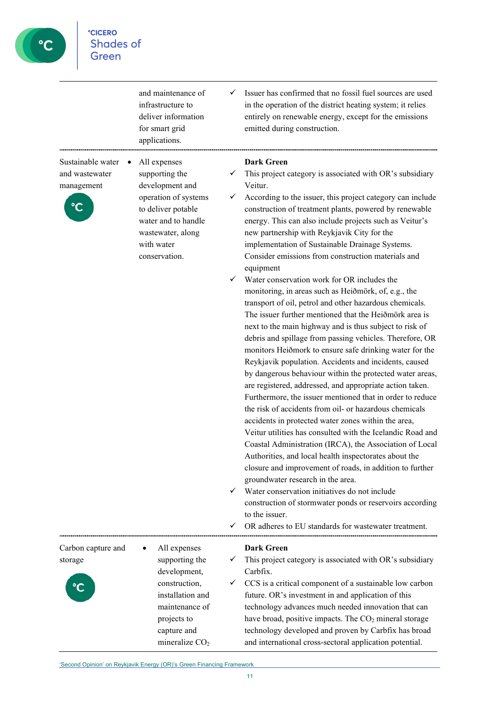

|                                                   | and maintenance of<br>infrastructure to<br>deliver information<br>for smart grid<br>applications.                                                                          |                                  | Issuer has confirmed that no fossil fuel sources are used<br>in the operation of the district heating system; it relies<br>entirely on renewable energy, except for the emissions<br>emitted during construction.                                                                                                                                                                                                                                                                                                                                                                                                                                                                                                                                                                                                                                                                                                                                                                                                                                                                                                                                                                                                                                                                                                                                                                                                                                                                                                                                                                                                                                                                                       |
|---------------------------------------------------|----------------------------------------------------------------------------------------------------------------------------------------------------------------------------|----------------------------------|---------------------------------------------------------------------------------------------------------------------------------------------------------------------------------------------------------------------------------------------------------------------------------------------------------------------------------------------------------------------------------------------------------------------------------------------------------------------------------------------------------------------------------------------------------------------------------------------------------------------------------------------------------------------------------------------------------------------------------------------------------------------------------------------------------------------------------------------------------------------------------------------------------------------------------------------------------------------------------------------------------------------------------------------------------------------------------------------------------------------------------------------------------------------------------------------------------------------------------------------------------------------------------------------------------------------------------------------------------------------------------------------------------------------------------------------------------------------------------------------------------------------------------------------------------------------------------------------------------------------------------------------------------------------------------------------------------|
| Sustainable water<br>and wastewater<br>management | All expenses<br>supporting the<br>development and<br>operation of systems<br>to deliver potable<br>water and to handle<br>wastewater, along<br>with water<br>conservation. | ✓<br>✓<br>✓<br>✓<br>$\checkmark$ | <b>Dark Green</b><br>This project category is associated with OR's subsidiary<br>Veitur.<br>According to the issuer, this project category can include<br>construction of treatment plants, powered by renewable<br>energy. This can also include projects such as Veitur's<br>new partnership with Reykjavik City for the<br>implementation of Sustainable Drainage Systems.<br>Consider emissions from construction materials and<br>equipment<br>Water conservation work for OR includes the<br>monitoring, in areas such as Heiðmörk, of, e.g., the<br>transport of oil, petrol and other hazardous chemicals.<br>The issuer further mentioned that the Heiðmörk area is<br>next to the main highway and is thus subject to risk of<br>debris and spillage from passing vehicles. Therefore, OR<br>monitors Heiðmork to ensure safe drinking water for the<br>Reykjavik population. Accidents and incidents, caused<br>by dangerous behaviour within the protected water areas,<br>are registered, addressed, and appropriate action taken.<br>Furthermore, the issuer mentioned that in order to reduce<br>the risk of accidents from oil- or hazardous chemicals<br>accidents in protected water zones within the area,<br>Veitur utilities has consulted with the Icelandic Road and<br>Coastal Administration (IRCA), the Association of Local<br>Authorities, and local health inspectorates about the<br>closure and improvement of roads, in addition to further<br>groundwater research in the area.<br>Water conservation initiatives do not include<br>construction of stormwater ponds or reservoirs according<br>to the issuer.<br>OR adheres to EU standards for wastewater treatment. |
| Carbon capture and<br>storage                     | All expenses<br>supporting the<br>development,<br>construction,<br>installation and<br>maintenance of<br>projects to<br>capture and<br>mineralize CO <sub>2</sub>          |                                  | <b>Dark Green</b><br>This project category is associated with OR's subsidiary<br>Carbfix.<br>CCS is a critical component of a sustainable low carbon<br>future. OR's investment in and application of this<br>technology advances much needed innovation that can<br>have broad, positive impacts. The CO <sub>2</sub> mineral storage<br>technology developed and proven by Carbfix has broad<br>and international cross-sectoral application potential.                                                                                                                                                                                                                                                                                                                                                                                                                                                                                                                                                                                                                                                                                                                                                                                                                                                                                                                                                                                                                                                                                                                                                                                                                                               |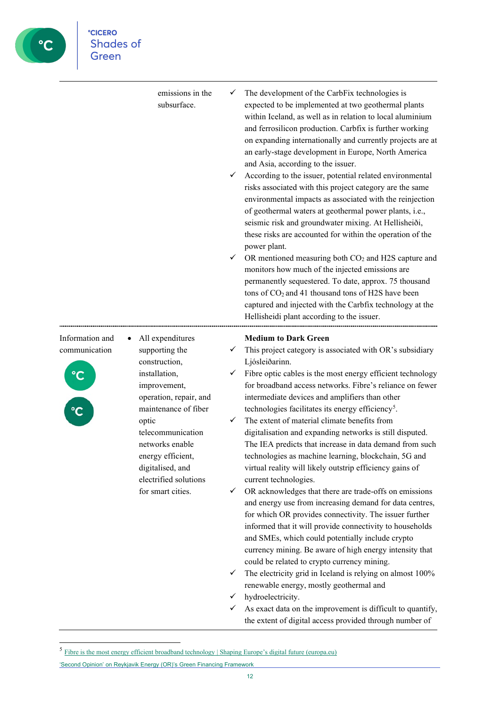| <b>CICERO</b><br><b>Shades of</b><br>Green |                                                                                                                                                                                                                                                                       |                                            |                                                                                                                                                                                                                                                                                                                                                                                                                                                                                                                                                                                                                                                                                                                                                                                                                                                                                                                                                                                                                                                                                                                                                                                                                                                                                                                                           |
|--------------------------------------------|-----------------------------------------------------------------------------------------------------------------------------------------------------------------------------------------------------------------------------------------------------------------------|--------------------------------------------|-------------------------------------------------------------------------------------------------------------------------------------------------------------------------------------------------------------------------------------------------------------------------------------------------------------------------------------------------------------------------------------------------------------------------------------------------------------------------------------------------------------------------------------------------------------------------------------------------------------------------------------------------------------------------------------------------------------------------------------------------------------------------------------------------------------------------------------------------------------------------------------------------------------------------------------------------------------------------------------------------------------------------------------------------------------------------------------------------------------------------------------------------------------------------------------------------------------------------------------------------------------------------------------------------------------------------------------------|
|                                            | emissions in the<br>subsurface.                                                                                                                                                                                                                                       | ✓<br>✓                                     | The development of the CarbFix technologies is<br>expected to be implemented at two geothermal plants<br>within Iceland, as well as in relation to local aluminium<br>and ferrosilicon production. Carbfix is further working<br>on expanding internationally and currently projects are at<br>an early-stage development in Europe, North America<br>and Asia, according to the issuer.<br>According to the issuer, potential related environmental<br>risks associated with this project category are the same<br>environmental impacts as associated with the reinjection<br>of geothermal waters at geothermal power plants, i.e.,<br>seismic risk and groundwater mixing. At Hellisheiði,<br>these risks are accounted for within the operation of the<br>power plant.<br>OR mentioned measuring both CO <sub>2</sub> and H2S capture and<br>monitors how much of the injected emissions are<br>permanently sequestered. To date, approx. 75 thousand<br>tons of CO <sub>2</sub> and 41 thousand tons of H2S have been<br>captured and injected with the Carbfix technology at the<br>Hellisheidi plant according to the issuer.                                                                                                                                                                                                     |
| Information and<br>communication<br>optic  | All expenditures<br>supporting the<br>construction,<br>installation,<br>improvement,<br>operation, repair, and<br>maintenance of fiber<br>telecommunication<br>networks enable<br>energy efficient,<br>digitalised, and<br>electrified solutions<br>for smart cities. | ✓<br>✓<br>✓<br>$\checkmark$<br>✓<br>✓<br>✓ | <b>Medium to Dark Green</b><br>This project category is associated with OR's subsidiary<br>Ljósleiðarinn.<br>Fibre optic cables is the most energy efficient technology<br>for broadband access networks. Fibre's reliance on fewer<br>intermediate devices and amplifiers than other<br>technologies facilitates its energy efficiency <sup>5</sup> .<br>The extent of material climate benefits from<br>digitalisation and expanding networks is still disputed.<br>The IEA predicts that increase in data demand from such<br>technologies as machine learning, blockchain, 5G and<br>virtual reality will likely outstrip efficiency gains of<br>current technologies.<br>OR acknowledges that there are trade-offs on emissions<br>and energy use from increasing demand for data centres,<br>for which OR provides connectivity. The issuer further<br>informed that it will provide connectivity to households<br>and SMEs, which could potentially include crypto<br>currency mining. Be aware of high energy intensity that<br>could be related to crypto currency mining.<br>The electricity grid in Iceland is relying on almost 100%<br>renewable energy, mostly geothermal and<br>hydroelectricity.<br>As exact data on the improvement is difficult to quantify,<br>the extent of digital access provided through number of |

<span id="page-11-0"></span><sup>5</sup> Fibre is the most energy efficient [broadband technology | Shaping Europe's digital future \(europa.eu\)](https://digital-strategy.ec.europa.eu/en/library/fibre-most-energy-efficient-broadband-technology)

<sup>&#</sup>x27;Second Opinion' on Reykjavik Energy (OR)'s Green Financing Framework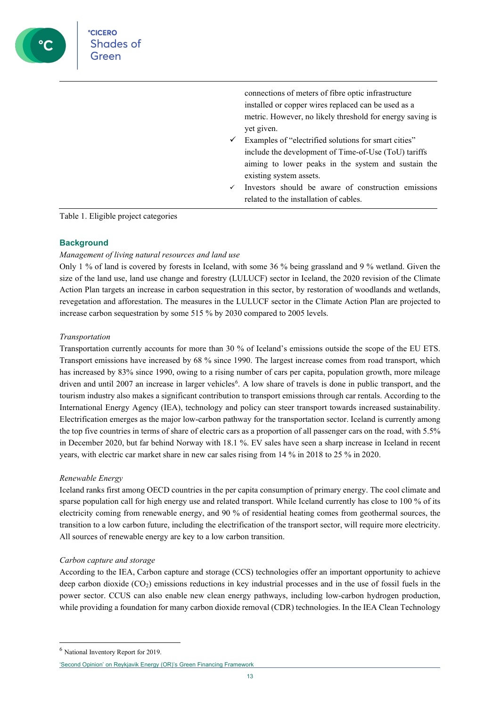

connections of meters of fibre optic infrastructure installed or copper wires replaced can be used as a metric. However, no likely threshold for energy saving is yet given.

- $\checkmark$  Examples of "electrified solutions for smart cities" include the development of Time-of-Use (ToU) tariffs aiming to lower peaks in the system and sustain the existing system assets.
- Investors should be aware of construction emissions related to the installation of cables.

<span id="page-12-0"></span>Table 1. Eligible project categories

#### **Background**

#### *Management of living natural resources and land use*

Only 1 % of land is covered by forests in Iceland, with some 36 % being grassland and 9 % wetland. Given the size of the land use, land use change and forestry (LULUCF) sector in Iceland, the 2020 revision of the Climate Action Plan targets an increase in carbon sequestration in this sector, by restoration of woodlands and wetlands, revegetation and afforestation. The measures in the LULUCF sector in the Climate Action Plan are projected to increase carbon sequestration by some 515 % by 2030 compared to 2005 levels.

#### *Transportation*

Transportation currently accounts for more than 30 % of Iceland's emissions outside the scope of the EU ETS. Transport emissions have increased by 68 % since 1990. The largest increase comes from road transport, which has increased by 83% since 1990, owing to a rising number of cars per capita, population growth, more mileage driven and until 2007 an increase in larger vehicles<sup>[6](#page-12-1)</sup>. A low share of travels is done in public transport, and the tourism industry also makes a significant contribution to transport emissions through car rentals. According to the International Energy Agency (IEA), technology and policy can steer transport towards increased sustainability. Electrification emerges as the major low-carbon pathway for the transportation sector. Iceland is currently among the top five countries in terms of share of electric cars as a proportion of all passenger cars on the road, with 5.5% in December 2020, but far behind Norway with 18.1 %. EV sales have seen a sharp increase in Iceland in recent years, with electric car market share in new car sales rising from 14 % in 2018 to 25 % in 2020.

#### *Renewable Energy*

Iceland ranks first among OECD countries in the per capita consumption of primary energy. The cool climate and sparse population call for high energy use and related transport. While Iceland currently has close to 100 % of its electricity coming from renewable energy, and 90 % of residential heating comes from geothermal sources, the transition to a low carbon future, including the electrification of the transport sector, will require more electricity. All sources of renewable energy are key to a low carbon transition.

#### *Carbon capture and storage*

According to the IEA, Carbon capture and storage (CCS) technologies offer an important opportunity to achieve deep carbon dioxide  $(CO_2)$  emissions reductions in key industrial processes and in the use of fossil fuels in the power sector. CCUS can also enable new clean energy pathways, including low-carbon hydrogen production, while providing a foundation for many carbon dioxide removal (CDR) technologies. In the IEA Clean Technology

<span id="page-12-1"></span><sup>6</sup> National Inventory Report for 2019.

<sup>&#</sup>x27;Second Opinion' on Reykjavik Energy (OR)'s Green Financing Framework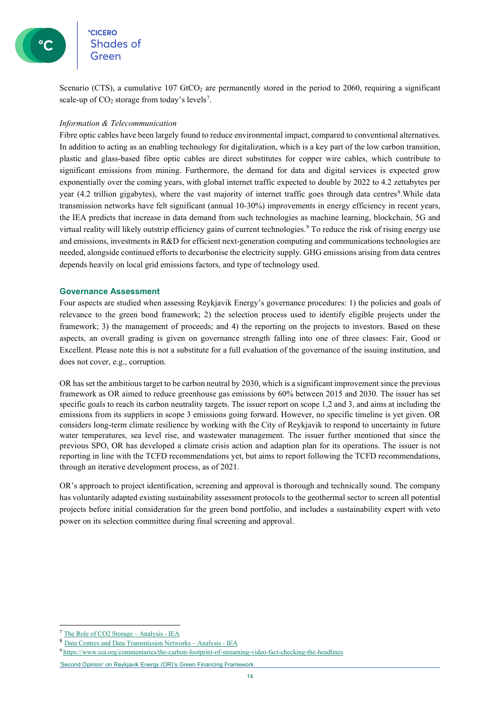Scenario (CTS), a cumulative  $107 \text{ GtCO}_2$  are permanently stored in the period to 2060, requiring a significant scale-up of  $CO<sub>2</sub>$  storage from today's levels<sup>[7](#page-13-1)</sup>.

#### *Information & Telecommunication*

Fibre optic cables have been largely found to reduce environmental impact, compared to conventional alternatives. In addition to acting as an enabling technology for digitalization, which is a key part of the low carbon transition, plastic and glass-based fibre optic cables are direct substitutes for copper wire cables, which contribute to significant emissions from mining. Furthermore, the demand for data and digital services is expected grow exponentially over the coming years, with global internet traffic expected to double by 2022 to 4.2 zettabytes per year (4.2 trillion gigabytes), where the vast majority of internet traffic goes through data centres<sup>[8](#page-13-2)</sup>. While data transmission networks have felt significant (annual 10-30%) improvements in energy efficiency in recent years, the IEA predicts that increase in data demand from such technologies as machine learning, blockchain, 5G and virtual reality will likely outstrip efficiency gains of current technologies. [9](#page-13-3) To reduce the risk of rising energy use and emissions, investments in R&D for efficient next-generation computing and communications technologies are needed, alongside continued efforts to decarbonise the electricity supply. GHG emissions arising from data centres depends heavily on local grid emissions factors, and type of technology used.

#### <span id="page-13-0"></span>**Governance Assessment**

Four aspects are studied when assessing Reykjavik Energy's governance procedures: 1) the policies and goals of relevance to the green bond framework; 2) the selection process used to identify eligible projects under the framework; 3) the management of proceeds; and 4) the reporting on the projects to investors. Based on these aspects, an overall grading is given on governance strength falling into one of three classes: Fair, Good or Excellent. Please note this is not a substitute for a full evaluation of the governance of the issuing institution, and does not cover, e.g., corruption.

OR has set the ambitious target to be carbon neutral by 2030, which is a significant improvement since the previous framework as OR aimed to reduce greenhouse gas emissions by 60% between 2015 and 2030. The issuer has set specific goals to reach its carbon neutrality targets. The issuer report on scope 1,2 and 3, and aims at including the emissions from its suppliers in scope 3 emissions going forward. However, no specific timeline is yet given. OR considers long-term climate resilience by working with the City of Reykjavik to respond to uncertainty in future water temperatures, sea level rise, and wastewater management. The issuer further mentioned that since the previous SPO, OR has developed a climate crisis action and adaption plan for its operations. The issuer is not reporting in line with the TCFD recommendations yet, but aims to report following the TCFD recommendations, through an iterative development process, as of 2021.

OR's approach to project identification, screening and approval is thorough and technically sound. The company has voluntarily adapted existing sustainability assessment protocols to the geothermal sector to screen all potential projects before initial consideration for the green bond portfolio, and includes a sustainability expert with veto power on its selection committee during final screening and approval.

<sup>7</sup> [The Role of CO2 Storage –](https://www.iea.org/reports/the-role-of-co2-storage) Analysis - IEA

<span id="page-13-2"></span><span id="page-13-1"></span><sup>8</sup> [Data Centres and Data Transmission Networks –](https://www.iea.org/reports/data-centres-and-data-transmission-networks) Analysis - IEA

<span id="page-13-3"></span><sup>9</sup> <https://www.iea.org/commentaries/the-carbon-footprint-of-streaming-video-fact-checking-the-headlines>

<sup>&#</sup>x27;Second Opinion' on Reykjavik Energy (OR)'s Green Financing Framework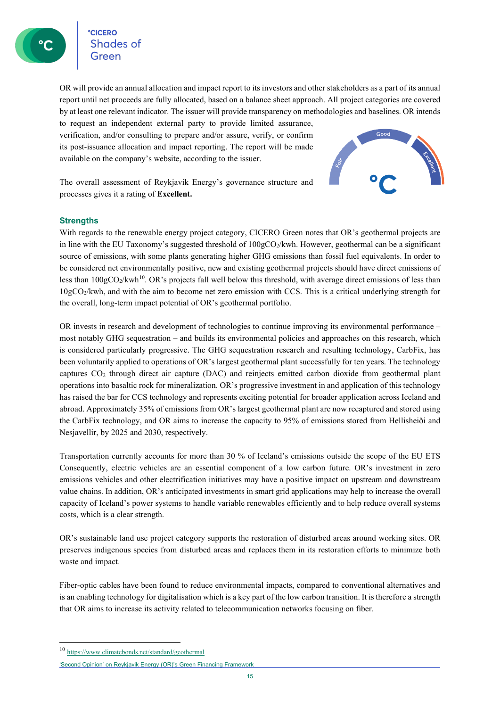Shades of

OR will provide an annual allocation and impact report to its investors and other stakeholders as a part of its annual report until net proceeds are fully allocated, based on a balance sheet approach. All project categories are covered by at least one relevant indicator. The issuer will provide transparency on methodologies and baselines. OR intends

to request an independent external party to provide limited assurance, verification, and/or consulting to prepare and/or assure, verify, or confirm its post-issuance allocation and impact reporting. The report will be made available on the company's website, according to the issuer.



The overall assessment of Reykjavik Energy's governance structure and processes gives it a rating of **Excellent.**

#### <span id="page-14-0"></span>**Strengths**

With regards to the renewable energy project category, CICERO Green notes that OR's geothermal projects are in line with the EU Taxonomy's suggested threshold of 100gCO<sub>2</sub>/kwh. However, geothermal can be a significant source of emissions, with some plants generating higher GHG emissions than fossil fuel equivalents. In order to be considered net environmentally positive, new and existing geothermal projects should have direct emissions of less than  $100gCO<sub>2</sub>/kwh<sup>10</sup>$  $100gCO<sub>2</sub>/kwh<sup>10</sup>$ . OR's projects fall well below this threshold, with average direct emissions of less than 10gCO2/kwh, and with the aim to become net zero emission with CCS. This is a critical underlying strength for the overall, long-term impact potential of OR's geothermal portfolio.

OR invests in research and development of technologies to continue improving its environmental performance – most notably GHG sequestration – and builds its environmental policies and approaches on this research, which is considered particularly progressive. The GHG sequestration research and resulting technology, CarbFix, has been voluntarily applied to operations of OR's largest geothermal plant successfully for ten years. The technology captures CO2 through direct air capture (DAC) and reinjects emitted carbon dioxide from geothermal plant operations into basaltic rock for mineralization. OR's progressive investment in and application of this technology has raised the bar for CCS technology and represents exciting potential for broader application across Iceland and abroad. Approximately 35% of emissions from OR's largest geothermal plant are now recaptured and stored using the CarbFix technology, and OR aims to increase the capacity to 95% of emissions stored from Hellisheiði and Nesjavellir, by 2025 and 2030, respectively.

Transportation currently accounts for more than 30 % of Iceland's emissions outside the scope of the EU ETS Consequently, electric vehicles are an essential component of a low carbon future. OR's investment in zero emissions vehicles and other electrification initiatives may have a positive impact on upstream and downstream value chains. In addition, OR's anticipated investments in smart grid applications may help to increase the overall capacity of Iceland's power systems to handle variable renewables efficiently and to help reduce overall systems costs, which is a clear strength.

OR's sustainable land use project category supports the restoration of disturbed areas around working sites. OR preserves indigenous species from disturbed areas and replaces them in its restoration efforts to minimize both waste and impact.

Fiber-optic cables have been found to reduce environmental impacts, compared to conventional alternatives and is an enabling technology for digitalisation which is a key part of the low carbon transition. It is therefore a strength that OR aims to increase its activity related to telecommunication networks focusing on fiber.

<span id="page-14-1"></span><sup>10</sup> <https://www.climatebonds.net/standard/geothermal>

<sup>&#</sup>x27;Second Opinion' on Reykjavik Energy (OR)'s Green Financing Framework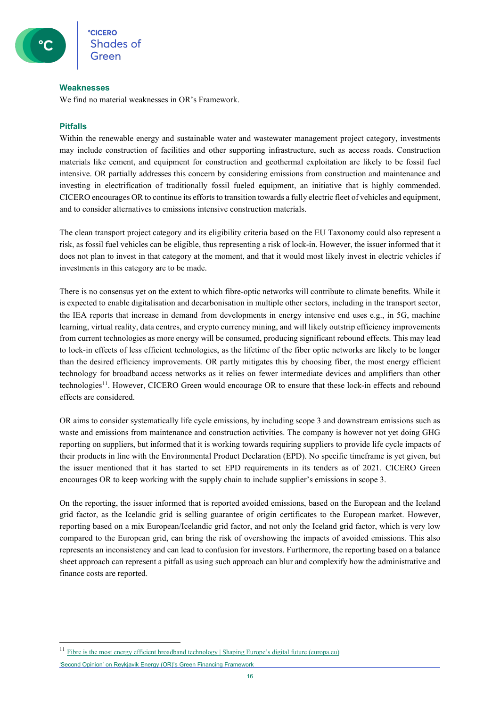#### <span id="page-15-0"></span>**Weaknesses**

<span id="page-15-1"></span>We find no material weaknesses in OR's Framework.

#### **Pitfalls**

Within the renewable energy and sustainable water and wastewater management project category, investments may include construction of facilities and other supporting infrastructure, such as access roads. Construction materials like cement, and equipment for construction and geothermal exploitation are likely to be fossil fuel intensive. OR partially addresses this concern by considering emissions from construction and maintenance and investing in electrification of traditionally fossil fueled equipment, an initiative that is highly commended. CICERO encourages OR to continue its efforts to transition towards a fully electric fleet of vehicles and equipment, and to consider alternatives to emissions intensive construction materials.

The clean transport project category and its eligibility criteria based on the EU Taxonomy could also represent a risk, as fossil fuel vehicles can be eligible, thus representing a risk of lock-in. However, the issuer informed that it does not plan to invest in that category at the moment, and that it would most likely invest in electric vehicles if investments in this category are to be made.

There is no consensus yet on the extent to which fibre-optic networks will contribute to climate benefits. While it is expected to enable digitalisation and decarbonisation in multiple other sectors, including in the transport sector, the IEA reports that increase in demand from developments in energy intensive end uses e.g., in 5G, machine learning, virtual reality, data centres, and crypto currency mining, and will likely outstrip efficiency improvements from current technologies as more energy will be consumed, producing significant rebound effects. This may lead to lock-in effects of less efficient technologies, as the lifetime of the fiber optic networks are likely to be longer than the desired efficiency improvements. OR partly mitigates this by choosing fiber, the most energy efficient technology for broadband access networks as it relies on fewer intermediate devices and amplifiers than other technologies<sup>[11](#page-15-2)</sup>. However, CICERO Green would encourage OR to ensure that these lock-in effects and rebound effects are considered.

OR aims to consider systematically life cycle emissions, by including scope 3 and downstream emissions such as waste and emissions from maintenance and construction activities. The company is however not yet doing GHG reporting on suppliers, but informed that it is working towards requiring suppliers to provide life cycle impacts of their products in line with the Environmental Product Declaration (EPD). No specific timeframe is yet given, but the issuer mentioned that it has started to set EPD requirements in its tenders as of 2021. CICERO Green encourages OR to keep working with the supply chain to include supplier's emissions in scope 3.

On the reporting, the issuer informed that is reported avoided emissions, based on the European and the Iceland grid factor, as the Icelandic grid is selling guarantee of origin certificates to the European market. However, reporting based on a mix European/Icelandic grid factor, and not only the Iceland grid factor, which is very low compared to the European grid, can bring the risk of overshowing the impacts of avoided emissions. This also represents an inconsistency and can lead to confusion for investors. Furthermore, the reporting based on a balance sheet approach can represent a pitfall as using such approach can blur and complexify how the administrative and finance costs are reported.

<span id="page-15-2"></span><sup>&#</sup>x27;Second Opinion' on Reykjavik Energy (OR)'s Green Financing Framework <sup>11</sup> [Fibre is the most energy efficient broadband technology | Shaping Europe's digital future \(europa.eu\)](https://digital-strategy.ec.europa.eu/en/library/fibre-most-energy-efficient-broadband-technology)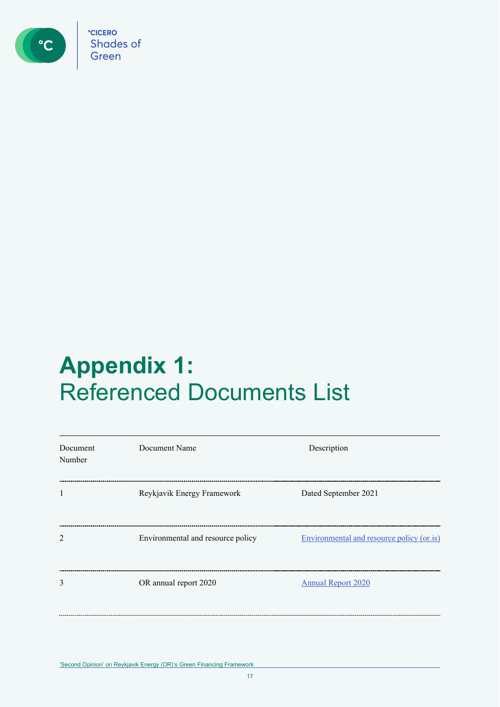

°cicero<br>Shades of<br>Green

# <span id="page-16-0"></span>**Appendix 1:**  Referenced Documents List

| Document<br>Number            | Document Name                     | Description                               |
|-------------------------------|-----------------------------------|-------------------------------------------|
| 1                             | Reykjavik Energy Framework        | Dated September 2021                      |
| $\mathfrak{D}_{\mathfrak{p}}$ | Environmental and resource policy | Environmental and resource policy (or.is) |
| 3                             | OR annual report 2020             | <b>Annual Report 2020</b>                 |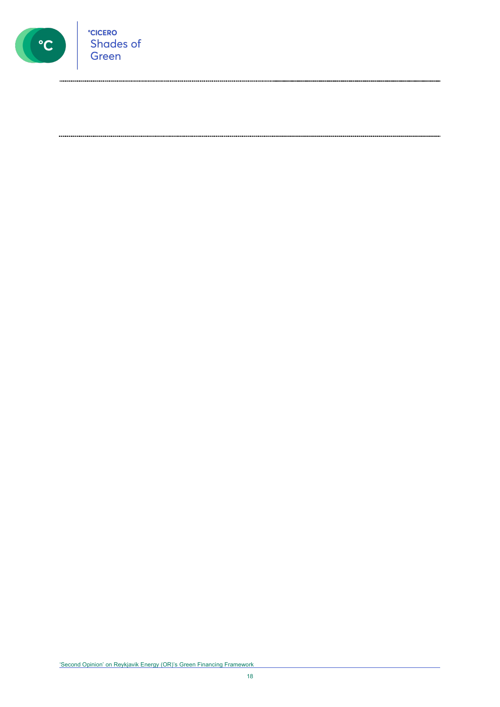